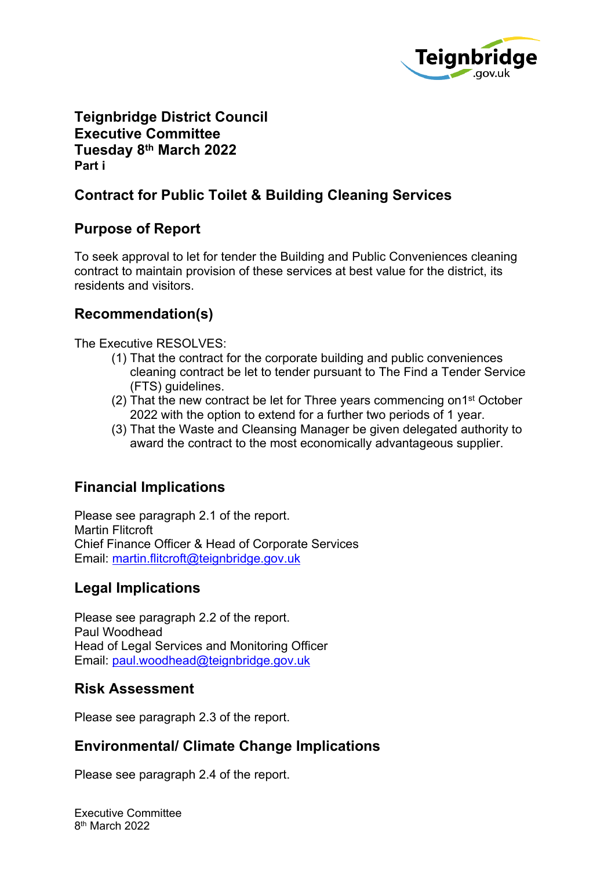

**Teignbridge District Council Executive Committee Tuesday 8 th March 2022 Part i**

# **Contract for Public Toilet & Building Cleaning Services**

# **Purpose of Report**

To seek approval to let for tender the Building and Public Conveniences cleaning contract to maintain provision of these services at best value for the district, its residents and visitors.

# **Recommendation(s)**

The Executive RESOLVES:

- (1) That the contract for the corporate building and public conveniences cleaning contract be let to tender pursuant to The Find a Tender Service (FTS) guidelines.
- (2) That the new contract be let for Three years commencing on1st October 2022 with the option to extend for a further two periods of 1 year.
- (3) That the Waste and Cleansing Manager be given delegated authority to award the contract to the most economically advantageous supplier.

# **Financial Implications**

Please see paragraph 2.1 of the report. Martin Flitcroft Chief Finance Officer & Head of Corporate Services Email: [martin.flitcroft@teignbridge.gov.uk](mailto:martin.flitcroft@teignbridge.gov.uk)

# **Legal Implications**

Please see paragraph 2.2 of the report. Paul Woodhead Head of Legal Services and Monitoring Officer Email: [paul.woodhead@teignbridge.gov.uk](mailto:paul.woodhead@teignbridge.gov.uk)

## **Risk Assessment**

Please see paragraph 2.3 of the report.

# **Environmental/ Climate Change Implications**

Please see paragraph 2.4 of the report.

Executive Committee 8 th March 2022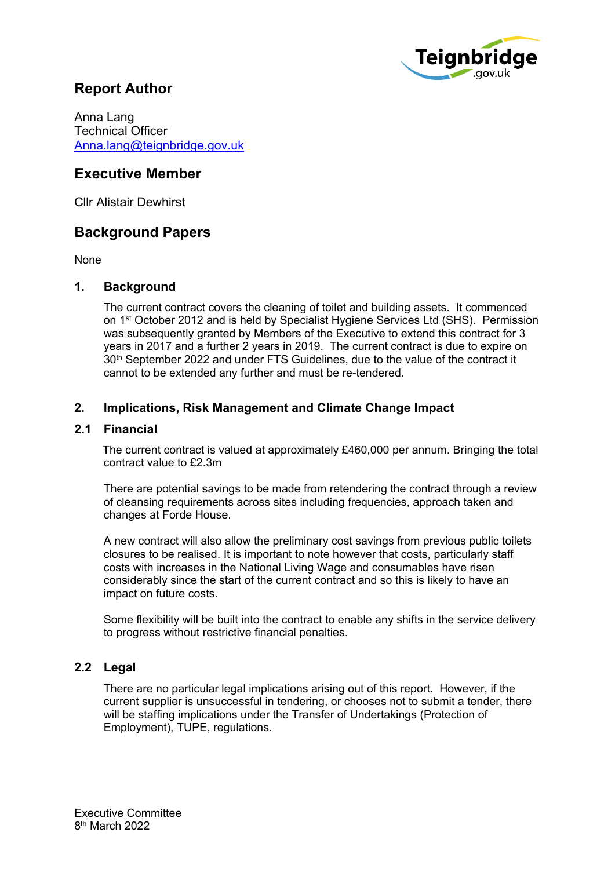

## **Report Author**

Anna Lang Technical Officer [Anna.lang@teignbridge.gov.uk](mailto:Anna.lang@teignbridge.gov.uk)

## **Executive Member**

Cllr Alistair Dewhirst

## **Background Papers**

None

#### **1. Background**

The current contract covers the cleaning of toilet and building assets. It commenced on 1<sup>st</sup> October 2012 and is held by Specialist Hygiene Services Ltd (SHS). Permission was subsequently granted by Members of the Executive to extend this contract for 3 years in 2017 and a further 2 years in 2019. The current contract is due to expire on 30th September 2022 and under FTS Guidelines, due to the value of the contract it cannot to be extended any further and must be re-tendered.

### **2. Implications, Risk Management and Climate Change Impact**

#### **2.1 Financial**

 The current contract is valued at approximately £460,000 per annum. Bringing the total contract value to £2.3m

There are potential savings to be made from retendering the contract through a review of cleansing requirements across sites including frequencies, approach taken and changes at Forde House.

A new contract will also allow the preliminary cost savings from previous public toilets closures to be realised. It is important to note however that costs, particularly staff costs with increases in the National Living Wage and consumables have risen considerably since the start of the current contract and so this is likely to have an impact on future costs.

Some flexibility will be built into the contract to enable any shifts in the service delivery to progress without restrictive financial penalties.

### **2.2 Legal**

There are no particular legal implications arising out of this report. However, if the current supplier is unsuccessful in tendering, or chooses not to submit a tender, there will be staffing implications under the Transfer of Undertakings (Protection of Employment), TUPE, regulations.